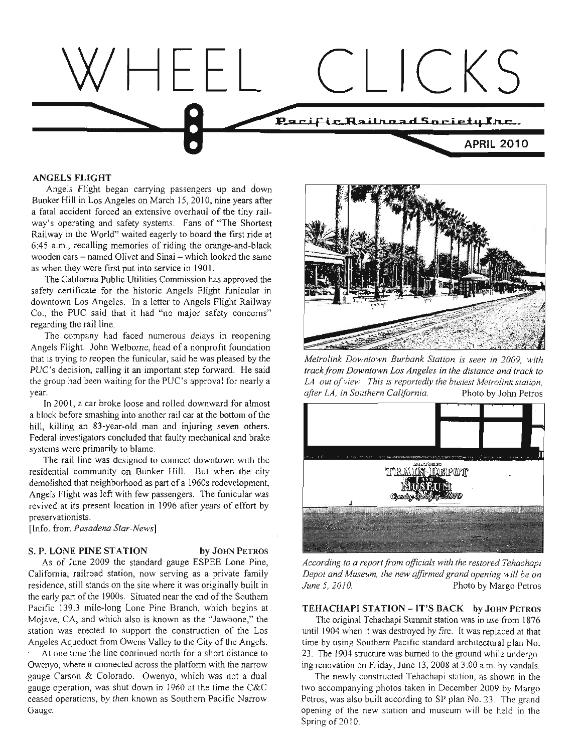

#### **ANGELS FLIGHT**

Angels Flight began carrying passengers up and down Bunker Hill in Los Angeles on March 15, 2010, nine years after a fatal accident forced an extensive overhaul of the tiny railway's operating and safety systems. Fans of "The Shortest" Railway in the World" waited eagerly to board the first ride at 6:45 a.m., recalling memories of riding the orange-and-black wooden cars - named Olivet and Sinai - which looked the same as when they were first put into service in 1901.

The California Public Utilities Commission has approved the safety certificate for the historic Angels Flight funicular in downtown Los Angeles. In a letter to Angels Flight Railway Co., the PUC said that it had "no major safety concerns" regarding the rail line.

The company had faced numerous delays in reopening Angels Flight. John Welborne, head of a nonprofit foundation that is trying to reopen the funicular, said he was pleased by the PUC's decision, calling it an important step forward. He said the group had been waiting for the PUC's approval for nearly a year.

In 2001, a car broke loose and rolled downward for almost a block before smashing into another rail car at the bottom of the hill, killing an 83-year-old man and injuring seven others. Federal investigators concluded that faulty mechanical and brake systems were primarily to blame.

The rail line was designed to connect downtown with the residential community on Bunker Hill. But when the city demolished that neighborhood as part of a 1960s redevelopment, Angels Flight was left with few passengers. The funicular was revived at its present location in 1996 after years of effort by preservationists.

[Info. from Pasadena Star-News]

#### S. P. LONE PINE STATION

# by JOHN PETROS

As of June 2009 the standard gauge ESPEE Lone Pine, California, railroad station, now serving as a private family residence, still stands on the site where it was originally built in the early part of the 1900s. Situated near the end of the Southern Pacific 139.3 mile-long Lone Pine Branch, which begins at Mojave, CA, and which also is known as the "Jawbone," the station was erected to support the construction of the Los Angeles Aqueduct from Owens Valley to the City of the Angels.

At one time the line continued north for a short distance to Owenyo, where it connected across the platform with the narrow gauge Carson & Colorado. Owenyo, which was not a dual gauge operation, was shut down in 1960 at the time the C&C ceased operations, by then known as Southern Pacific Narrow Gauge.



Metrolink Downtown Burbank Station is seen in 2009, with track from Downtown Los Angeles in the distance and track to LA out of view. This is reportedly the busiest Metrolink station, after LA, in Southern California. Photo by John Petros



According to a report from officials with the restored Tehachapi Depot and Museum, the new affirmed grand opening will be on June 5, 2010. Photo by Margo Petros

#### TEHACHAPI STATION - IT'S BACK by JOHN PETROS

The original Tehachapi Summit station was in use from 1876 until 1904 when it was destroyed by fire. It was replaced at that time by using Southern Pacific standard architectural plan No. 23. The 1904 structure was burned to the ground while undergoing renovation on Friday, June 13, 2008 at 3:00 a.m. by vandals.

The newly constructed Tehachapi station, as shown in the two accompanying photos taken in December 2009 by Margo Petros, was also built according to SP plan No. 23. The grand opening of the new station and museum will be held in the Spring of 2010.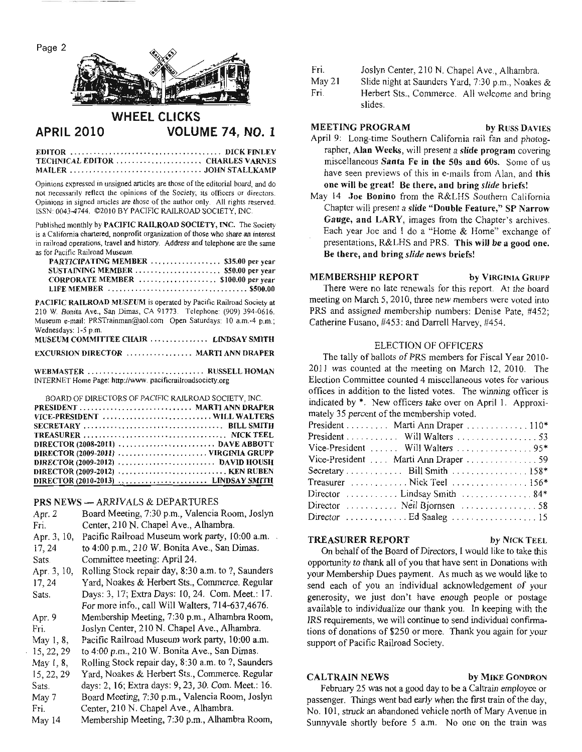Page 2



#### **WHEEL CLICKS VOLUME 74, NO. 1 APRIL 2010**

| TECHNICAL EDITOR  CHARLES VARNES |  |
|----------------------------------|--|
|                                  |  |

Opinions expressed in unsigned articles are those of the editorial board, and do not necessarily reflect the opinions of the Society, its officers or directors. Opinions in signed articles are those of the author only. All rights reserved. ISSN: 0043-4744. @2010 BY PACIFIC RAILROAD SOCIETY, INC.

Published monthly by PACIFIC RAILROAD SOCIETY, INC. The Society is a California chartered, nonprofit organization of those who share an interest in railroad operations, travel and history. Address and telephone are the same as for Pacific Railroad Museum.

| PARTICIPATING MEMBER  \$35.00 per year |  |
|----------------------------------------|--|
|                                        |  |
| CORPORATE MEMBER  \$100.00 per year    |  |
|                                        |  |

PACIFIC RAILROAD MUSEUM is operated by Pacific Railroad Society at 210 W. Bonita Ave., San Dimas, CA 91773. Telephone: (909) 394-0616. Museum e-mail: PRSTrainman@aol.com Open Saturdays: 10 a.m.-4 p.m.; Wednesdays: 1-5 p.m.

| MUSEUM COMMITTEE CHAIR  LINDSAY SMITH |  |  |
|---------------------------------------|--|--|
| EXCURSION DIRECTOR  MARTI ANN DRAPER  |  |  |

WEBMASTER .............................. RUSSELL HOMAN INTERNET Home Page: http://www.pacificrailroadsociety.org

| BOARD OF DIRECTORS OF PACIFIC RAILROAD SOCIETY. INC. |  |
|------------------------------------------------------|--|
|                                                      |  |
| VICE-PRESIDENT  WILL WALTERS                         |  |
|                                                      |  |
|                                                      |  |
|                                                      |  |
| DIRECTOR (2009-2011) VIRGINIA GRUPP                  |  |
|                                                      |  |
|                                                      |  |
|                                                      |  |

#### **PRS NEWS - ARRIVALS & DEPARTURES**

| Apr. 2      | Board Meeting, 7:30 p.m., Valencia Room, Joslyn     |
|-------------|-----------------------------------------------------|
| Fri.        | Center, 210 N. Chapel Ave., Alhambra.               |
| Apr. 3, 10, | Pacific Railroad Museum work party, 10:00 a.m.      |
| 17, 24      | to 4:00 p.m., 210 W. Bonita Ave., San Dimas.        |
| Sats.       | Committee meeting: April 24.                        |
| Apr. 3, 10, | Rolling Stock repair day, 8:30 a.m. to ?, Saunders  |
| 17, 24      | Yard, Noakes & Herbert Sts., Commerce. Regular      |
| Sats.       | Days: 3, 17; Extra Days: 10, 24. Com. Meet.: 17.    |
|             | For more info., call Will Walters, 714-637,4676.    |
| Apr. 9      | Membership Meeting, 7:30 p.m., Alhambra Room,       |
| Fri.        | Joslyn Center, 210 N. Chapel Ave., Alhambra.        |
| May 1, 8,   | Pacific Railroad Museum work party, 10:00 a.m.      |
| 15, 22, 29  | to 4:00 p.m., 210 W. Bonita Ave., San Dimas.        |
| May 1, 8,   | Rolling Stock repair day, 8:30 a.m. to ?, Saunders  |
| 15, 22, 29  | Yard, Noakes & Herbert Sts., Commerce. Regular      |
| Sats.       | days: 2, 16; Extra days: 9, 23, 30. Com. Meet.: 16. |
| May 7       | Board Meeting, 7:30 p.m., Valencia Room, Joslyn     |
| Fri.        | Center, 210 N. Chapel Ave., Alhambra.               |
| May 14      | Membership Meeting, 7:30 p.m., Alhambra Room,       |

- Fri. Joslyn Center, 210 N. Chapel Ave., Alhambra.
- May 21 Slide night at Saunders Yard, 7:30 p.m., Noakes &
- Fri. Herbert Sts., Commerce. All welcome and bring slides.

# **MEETING PROGRAM**

- by RUSS DAVIES April 9: Long-time Southern California rail fan and photographer, Alan Weeks, will present a slide program covering miscellaneous Santa Fe in the 50s and 60s. Some of us have seen previews of this in e-mails from Alan, and this one will be great! Be there, and bring slide briefs!
- May 14 Joe Bonino from the R&LHS Southern California Chapter will present a slide "Double Feature," SP Narrow Gauge, and LARY, images from the Chapter's archives. Each year Joe and I do a "Home & Home" exchange of presentations, R&LHS and PRS. This will be a good one. Be there, and bring slide news briefs!

**MEMBERSHIP REPORT** by VIRGINIA GRUPP There were no late renewals for this report. At the board meeting on March 5, 2010, three new members were voted into PRS and assigned membership numbers: Denise Pate, #452; Catherine Fusano, #453: and Darrell Harvey, #454.

#### **ELECTION OF OFFICERS**

The tally of ballots of PRS members for Fiscal Year 2010-2011 was counted at the meeting on March 12, 2010. The Election Committee counted 4 miscellaneous votes for various offices in addition to the listed votes. The winning officer is indicated by \*. New officers take over on April 1. Approximately 35 percent of the membership voted.

| President Marti Ann Draper 110*      |
|--------------------------------------|
| President Will Walters 53            |
|                                      |
| Vice-President  Marti Ann Draper  59 |
|                                      |
| Treasurer Nick Teel 156*             |
| Director  Lindsay Smith  84*         |
| Director  Neil Bjornsen  58          |
|                                      |

#### **TREASURER REPORT**

by NICK TEEL

by MIKE GONDRON

On behalf of the Board of Directors, I would like to take this opportunity to thank all of you that have sent in Donations with your Membership Dues payment. As much as we would like to send each of you an individual acknowledgement of your generosity, we just don't have enough people or postage available to individualize our thank you. In keeping with the IRS requirements, we will continue to send individual confirmations of donations of \$250 or more. Thank you again for your support of Pacific Railroad Society.

#### **CALTRAIN NEWS**

### February 25 was not a good day to be a Caltrain employee or passenger. Things went bad early when the first train of the day, No. 101, struck an abandoned vehicle north of Mary Avenue in Sunnyvale shortly before 5 a.m. No one on the train was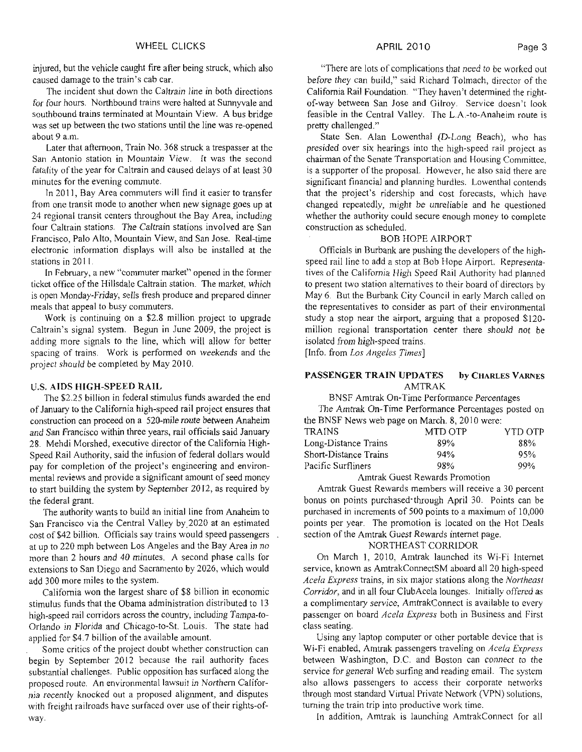injured, but the vehicle caught fire after being struck, which also caused damage to the train's cab car.

The incident shut down the Caltrain line in both directions for four hours. Northbound trains were halted at Sunnyvale and southbound trains terminated at Mountain View. A bus bridge was set up between the two stations until the line was re-opened about 9 a.m.

Later that afternoon, Train No. 368 struck a trespasser at the San Antonio station in Mountain View. It was the second fatality of the year for Caltrain and caused delays of at least 30 minutes for the evening commute.

In 2011, Bay Area commuters will find it easier to transfer from one transit mode to another when new signage goes up at 24 regional transit centers throughout the Bay Area, including four Caltrain stations. The Caltrain stations involved are San Francisco, Palo Alto, Mountain View, and San Jose. Real-time electronic information displays will also be installed at the stations in 2011.

In February, a new "commuter market" opened in the former ticket office of the Hillsdale Caltrain station. The market, which is open Monday-Friday, sells fresh produce and prepared dinner meals that appeal to busy commuters.

Work is continuing on a \$2.8 million project to upgrade Caltrain's signal system. Begun in June 2009, the project is adding more signals to the line, which will allow for better spacing of trains. Work is performed on weekends and the project should be completed by May 2010.

#### **U.S. AIDS HIGH-SPEED RAIL**

The \$2.25 billion in federal stimulus funds awarded the end of January to the California high-speed rail project ensures that construction can proceed on a 520-mile route between Anaheim and San Francisco within three years, rail officials said January 28. Mehdi Morshed, executive director of the California High-Speed Rail Authority, said the infusion of federal dollars would pay for completion of the project's engineering and environmental reviews and provide a significant amount of seed money to start building the system by September 2012, as required by the federal grant.

The authority wants to build an initial line from Anaheim to San Francisco via the Central Valley by 2020 at an estimated cost of \$42 billion. Officials say trains would speed passengers. at up to 220 mph between Los Angeles and the Bay Area in no more than 2 hours and 40 minutes. A second phase calls for extensions to San Diego and Sacramento by 2026, which would add 300 more miles to the system.

California won the largest share of \$8 billion in economic stimulus funds that the Obama administration distributed to 13 high-speed rail corridors across the country, including Tampa-to-Orlando in Florida and Chicago-to-St. Louis. The state had applied for \$4.7 billion of the available amount.

Some critics of the project doubt whether construction can begin by September 2012 because the rail authority faces substantial challenges. Public opposition has surfaced along the proposed route. An environmental lawsuit in Northern California recently knocked out a proposed alignment, and disputes with freight railroads have surfaced over use of their rights-ofway.

"There are lots of complications that need to be worked out before they can build," said Richard Tolmach, director of the California Rail Foundation. "They haven't determined the rightof-way between San Jose and Gilroy. Service doesn't look feasible in the Central Valley. The L.A.-to-Anaheim route is pretty challenged."

State Sen. Alan Lowenthal (D-Long Beach), who has presided over six hearings into the high-speed rail project as chairman of the Senate Transportation and Housing Committee, is a supporter of the proposal. However, he also said there are significant financial and planning hurdles. Lowenthal contends that the project's ridership and cost forecasts, which have changed repeatedly, might be unreliable and he questioned whether the authority could secure enough money to complete construction as scheduled.

#### **BOB HOPE AIRPORT**

Officials in Burbank are pushing the developers of the highspeed rail line to add a stop at Bob Hope Airport. Representatives of the California High Speed Rail Authority had planned to present two station alternatives to their board of directors by May 6. But the Burbank City Council in early March called on the representatives to consider as part of their environmental study a stop near the airport, arguing that a proposed \$120million regional transportation center there should not be isolated from high-speed trains.

[Info. from Los Angeles Times]

#### **PASSENGER TRAIN UPDATES** by CHARLES VARNES **AMTRAK**

BNSF Amtrak On-Time Performance Percentages

The Amtrak On-Time Performance Percentages posted on the BNSF News web page on March. 8, 2010 were:

|     | YTD OTP |
|-----|---------|
| 89% | 88%     |
| 94% | 95%     |
| 98% | 99%     |
|     | MTD OTP |

#### Amtrak Guest Rewards Promotion

Amtrak Guest Rewards members will receive a 30 percent bonus on points purchased through April 30. Points can be purchased in increments of 500 points to a maximum of 10,000 points per year. The promotion is located on the Hot Deals section of the Amtrak Guest Rewards internet page.

## NORTHEAST CORRIDOR

On March 1, 2010, Amtrak launched its Wi-Fi Internet service, known as AmtrakConnectSM aboard all 20 high-speed Acela Express trains, in six major stations along the Northeast Corridor, and in all four ClubAcela lounges. Initially offered as a complimentary service, AmtrakConnect is available to every passenger on board Acela Express both in Business and First class seating.

Using any laptop computer or other portable device that is Wi-Fi enabled, Amtrak passengers traveling on Acela Express between Washington, D.C. and Boston can connect to the service for general Web surfing and reading email. The system also allows passengers to access their corporate networks through most standard Virtual Private Network (VPN) solutions, turning the train trip into productive work time.

In addition, Amtrak is launching AmtrakConnect for all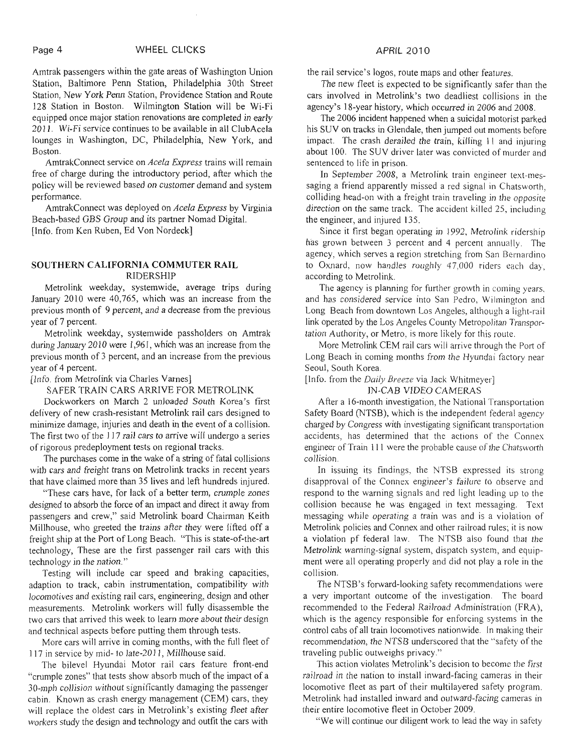Amtrak passengers within the gate areas of Washington Union Station, Baltimore Penn Station, Philadelphia 30th Street Station, New York Penn Station, Providence Station and Route 128 Station in Boston. Wilmington Station will be Wi-Fi equipped once major station renovations are completed in early 2011. Wi-Fi service continues to be available in all ClubAcela lounges in Washington, DC, Philadelphia, New York, and Boston.

AmtrakConnect service on *Acela Express* trains will remain free of charge during the introductory period, after which the policy will be reviewed based on customer demand and system performance.

AmtrakConnect was deployed on *Acela Express* by Virginia Beach-based GBS Group and its partner Nomad Digital. [Info. from Ken Ruben, Ed Von Nordeck]

#### **SOUTHERN CALIFORNIA COMMUTER RAIL**  RIDERSHIP

Metrolink weekday, systemwide, average trips during January 2010 were 40,765, which was an increase from the previous month of 9 percent, and a decrease from the previous year of 7 percent.

Metrolink weekday, systemwide passholders on Amtrak during January 20 10 were 1,961, which was an increase from the previous month of 3 percent, and an increase from the previous year of 4 percent.

[Info. from Metrolink via Charles Vames]

SAFER TRAIN CARS ARRIVE FOR METROLINK

Dockworkers on March 2 unloaded South Korea's first delivery of new crash-resistant Metrolink rail cars designed to minimize damage, injuries and death in the event of a collision. The first two of the 117 rail cars to arrive will undergo a series of rigorous predeployment tests on regional tracks.

The purchases come in the wake of a string of fatal collisions with cars and freight trans on Metrolink tracks in recent years that have claimed more than 35 lives and left hundreds injured.

"These cars have, for lack of a better term, crumple zones designed to absorb the force of an impact and direct it away from passengers and crew," said Metrolink board Chairman Keith Millhouse, who greeted the trains after they were lifted off a freight ship at the Port of Long Beach. "This is state-of-the-art technology, These are the first passenger rail cars with this technology in the nation."

Testing will include car speed and braking capacities, adaption to track, cabin instrumentation, compatibility with locomotives and existing rail cars, engineering, design and other measurements. Metrolink workers will fully disassemble the two cars that arrived this week to learn more about their design and technical aspects before putting them through tests.

More cars will arrive in coming months, with the full fleet of 117 in service by mid- to late-201 1, Millhouse said.

The bilevel Hyundai Motor rail cars feature front-end "crumple zones" that tests show absorb much of the impact of a 30-mph collision without significantly damaging the passenger cabin. Known as crash energy management (CEM) cars, they will replace the oldest cars in Metrolink's existing fleet after workers study the design and technology and outfit the cars with

the rail service's logos, route maps and other features.

The new fleet is expected to be significantly safer than the cars involved in Metrolink's two deadliest collisions in the agency's 18-year history, which occurred in 2006 and 2008.

The 2006 incident happened when a suicidal motorist parked his SUV on tracks in Glendale, then jumped out moments before impact. The crash derailed the train, killing 11 and injuring about 100. The SUV driver later was convicted of murder and sentenced to life in prison.

In September 2008, a Metrolink train engineer text-messaging a friend apparently missed a red signal in Chatsworth, colliding head-on with a freight train traveling in the opposite direction on the same track. The accident killed 25, including the engineer, and injured 135.

Since it first began operating in 1992, Metrolink ridership h'as grown between 3 percent and 4 percent annually. The agency, which serves a region stretching from San Bernardino to Oxnard, now handles roughly 47,000 riders each day, according to Metrolink.

The agency is planning for further growth in coming years. and has considered service into San Pedro, Wilmington and Long Beach from downtown Los Angeles, although a light-rail link operated by the Los Angeles County Metropolitan Transportation Authority, or Metro, is more likely for this route.

More Metrolink CEM rail cars will arrive through the Port of Long Beach in coming months from the Hyundai factory near Seoul, South Korea.

#### [Info. from the Daily *Breeze* via Jack Whitmeyer]

#### IN-CAB VIDEO CAMERAS

After a 16-month investigation, the National Transportation Safety Board (NTSB), which is the independent federal agency charged by Congress with investigating significant transportation accidents, has determined that the actions of the Connes engineer of Train 111 were the probable cause of the Chatsworth collision.

In issuing its findings, the NTSB expressed its strong disapproval of the Connex engineer's failure to observe and respond to the warning signals and red light leading up to the collision because he was engaged in text messaging. Text messaging while operating a train was and is a violation of Metrolink policies and Connex and other railroad rules; it is now a violation pf federal law. The NTSB also found that the Metrolink warning-signal system, dispatch system, and equipment were all operating properly and did not play a role in the collision.

The NTSB's forward-looking safety recommendations were a very important outcome of the investigation. The board recommended to the Federal Railroad Administration (FRA), which is the agency responsible for enforcing systems in the control cabs of all train locomotives nationwide. In making their recommendation, the NTSB underscored that the "safety of the traveling public outweighs privacy."

This action violates Metrolink's decision to become the first railroad in the nation to install inward-facing cameras in their locomotive fleet as part of their multilayered safety program. Metrolink had installed inward and outward-facing cameras in their entire locomotive fleet in October 2009.

"We will continue our diligent work to lead the way in safety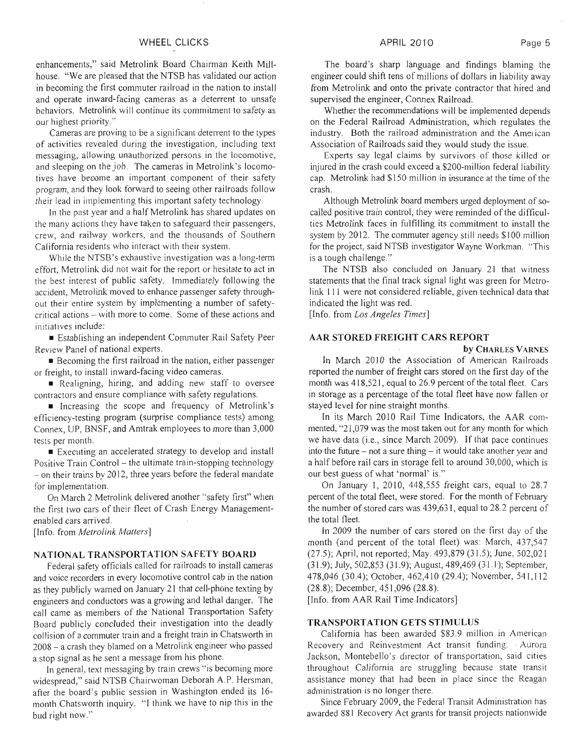#### WHEEL CLICKS

enhancements," said Metrolink Board Chairman Keith Millhouse. "We are pleased that the NTSB has validated our action in becoming the first commuter railroad in the nation to install and operate inward-facing cameras as a deterrent to unsafe behaviors. Metrolink will continue its commitment to safety as our highest priority."

Cameras are proving to be a significant deterrent to the types of activities revealed during the investigation, including text messaging, allowing unauthorized persons in the locomotive, and sleeping on the job. The cameras in Metrolink's locomotives have become an important component of their safety program, and they look forward to seeing other railroads follow their lead in iinplementing this important safety technology.

In the past year and a half Metrolink has shared updates on the many actions they have taken to safeguard their passengers, crew, and railway workers, and the thousands of Southern California residents who interact with their system.

While the NTSB's exhaustive investigation was a long-term effort, Metrolink did not wait for the report or hesitate to act in the best interest of public safety. lmmediately following the accident, Metrolink moved to enhance passenger safety throughout their entire system by implementing a number of safetycritical actions - with more to come. Some of these actions and initiatives include:

**<sup>w</sup>**Establishing an independent Commuter Rail Safety Peer Review Panel of national experts.

**<sup>w</sup>**Becoming the first railroad in the nation, either passenger or freight, to install inward-facing video cameras.

**Realigning, hiring, and adding new staff to oversee** contractors and ensure compliance with safety regulations.

Increasing the scope and frequency of Metrolink's efficiency-testing program (surprise compliance tests) among Connex, UP, BNSF, and Amtrak employees to more than 3,000 tests per month.

Executing an accelerated strategy to develop and install Positive Train Control – the ultimate train-stopping technology  $-$  on their trains by 2012, three years before the federal mandate for implementation.

On March 2 Metrolink delivered another "safety first" when the first two cars of their fleet of Crash Energy Managementenabled cars arrived.

[Info. from *Metrolink Matfers]* 

#### NATIONAL TRANSPORTATION SAFETY BOARD

Federal safety officials called for railroads to install cameras and voice recorders in every locomotive control cab in the nation as they publicly warned on January 21 that cell-phone texting by engineers and conductors was a growing and lethal danger. The call came as members of the National Transportation Safety Board publicly concluded their investigation into the deadly collision of a commuter train and a freight train in Chatsworth in <sup>2008</sup>- a crash they blamed on a Metrolink engineer who passed a stop signal as he sent a message from his phone.

In general, text messaging by train crews "is becoming more widespread," said NTSB Chairwoman Deborah A.P. Hersman, after the board's public session in Washington ended its 16 month Chatsworth inquiry. "I think we have to nip this in the bud right now."

#### APRIL 2010 Page 5

The board's sharp language and findings blaming the engineer could shift tens of millions of dollars in liability away from Metrolink and onto the private contractor that hired and supervised the engineer, Connex Railroad.

Whether the recommendations will be implemented depends on the Federal Railroad Administration, which regulates the industry. Both the railroad administration and the American Association of Railroads said they would study the issue.

Experts say legal claims by survivors of those killed or injured in the crash could exceed a \$200-niillion federal liability cap. Metrolink had \$150 million in insurance at the time of the crash.

Although Metrolink board members urged deployment of socalled positive train control, they were reminded of the difficulties Mctrolink faces in fulfilling its commitment to install the system by 2012. The commuter agency still needs \$100 million for the project, said NTSB investigator Wayne Workman. "This is a tough challenge."

The NTSB also concluded on January 21 that witness statements that the final track signal ljght was green for Metrolink 11 1 were not considered reliable, given technical data that indicated the light was red.

[Info. from Los *Angeles* **Times]** 

#### AAR STORED FREIGHT CARS REPORT

**by** CHARLES VARNES

In March 2010 the Association of American Railroads reported the number of freight cars stored on the first day of the month was 418,521, equal to 26.9 percent of the total fleet. Cars in storage as a percentage of the total fleet have now fallen or stayed level for nine straight months.

In its March 2010 Rail Time Indicators, the AAR commented, "21,079 was the most taken out for any month for which we have data (i.e., since March 2009). If that pace continues into the future  $-$  not a sure thing  $-$  it would take another year and a half before rail cars in storage fell to around 30,000, which is our best guess of what 'normal' is."

On January 1, 2010, 448,555 freight cars, equal to 28.7 percent of the total fleet, were stored. For the month of February the number of stored cars was 439,631, equal to 28.2 percent of the total fleet.

In 2009 the number of cars stored on the first day of the month (and percent of the total fleet) was: March, 437,547 (27.5); April, not reported; May. 493,879 (3 1.5); June, 502,02 1 (3 1.9); July, 502,853 (3 1.9); August, 489,469 (3 1.1); September, 478,046 (30.4); October, 462,4 10 (29.4); November, 54 1,112 (28.8); December, 45 1,096 (28.8).

[Info. from AAR Rail Time Indicators]

#### TRANSPORTATION GETS STIMULUS

California has been awarded \$83.9 million in American Recovery and Reinvestment Act transit funding. . Aurora Jackson, Montebello's director of transportation, said cities throughout California are struggling because state transit assistance money that had been in place since the Reagan administration is no longer there.

Since February 2009, the Federal Transit Administration has awarded 881 Recovery Act grants for transit projects nationwide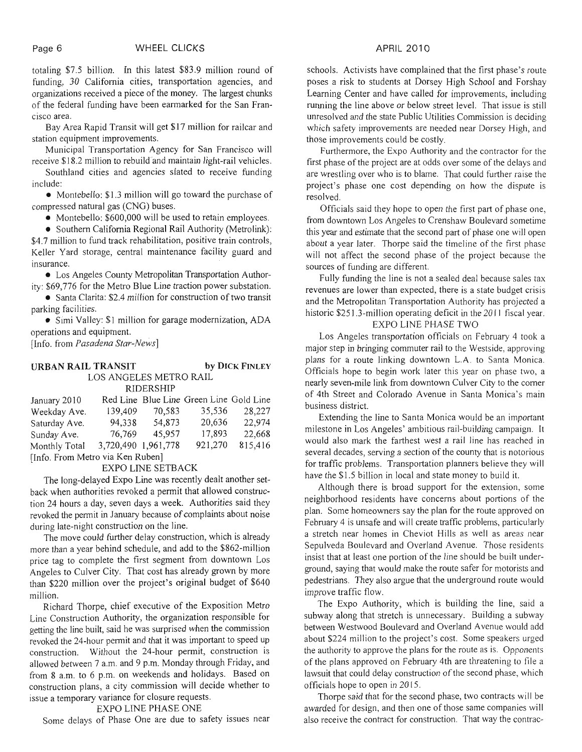totaling \$7.5 billion. In this latest \$83.9 million round of funding, 30 California cities, transportation agencies, and organizations received a piece of the money. The largest chunks of the federal funding have been earmarked for the San Francisco area.

Bay Area Rapid Transit will get \$17 million for railcar and station equipment improvements.

Municipal Transportation Agency for San Francisco will receive \$1 8.2 million to rebuild"and maintain light-rail vehicles.

Southland cities and agencies slated to receive funding include:

**a** Montebello: \$1.3 million will go toward the purchase of compressed natural gas (CNG) buses.

**a** Montebello: \$600,000 will be used to retain employees.

**a** Southern Califomia Regional Rail Authority (Metrolink):

\$4.7 million to fund track rehabilitation, positive train controls, Keller Yard storage, central maintenance facility guard and insurance.

**a** Los Angeles County Metropolitan Transportation Authority: \$69,776 for the Metro Blue Line traction power substation.

**a** Santa Clarita: \$2.4 million for construction of two transit parking facilities.

• Simi Valley: \$1 million for garage modernization, ADA operations and equipment.

[Info. from *Pasadena Star-News*]

#### **URBAN RAIL TRANSIT by DICK FINLEY**

LOS ANGELES METRO RAIL

| January 2010                     |                     |        | Red Line Blue Line Green Line Gold Line |         |
|----------------------------------|---------------------|--------|-----------------------------------------|---------|
| Weekday Ave.                     | 139,409             | 70,583 | 35,536                                  | 28,227  |
| Saturday Ave.                    | 94,338              | 54,873 | 20,636                                  | 22,974  |
| Sunday Ave.                      | 76,769              | 45,957 | 17,893                                  | 22,668  |
| Monthly Total                    | 3,720,490 1,961,778 |        | 921,270                                 | 815,416 |
| [Info. From Metro via Ken Ruben] |                     |        |                                         |         |

EXPO LINE SETBACK

The long-delayed Expo Line was recently dealt another setback when authorities revoked a permit that allowed construction 24 hours a day, seven days a week. Authorities said they revoked the permit in January because of complaints about noise during late-night construction on the line.

The move could further delay construction, which is already more than a year behind schedule, and add to the \$862-million price tag to complete the first segment from downtown Los Angeles to Culver City. That cost has already grown by more than \$220 million over the project's original budget of \$640 million.

Richard Thorpe, chief executive of the Exposition Metro Line Construction Authority, the organization responsible for getting the line built, said he was surprised when the commission revoked the 24-hour permit and that it was important to speed up construction. Without the 24-hour permit, construction is allowed between 7 a.m. and 9 p.m. Monday through Friday, and from 8 a.m. to 6 p.m. on weekends and holidays. Based on construction plans, a city commission will decide whether to issue a temporary variance for closure requests.

### EXPO LINE PHASE ONE

Some delays of Phase One are due to safety issues near

schools. Activists have complained that the first phase's route poses a risk to students at Dorsey High School and Forshay Learning Center and have called for improvements, including running the line above or below street level. That issue is still unresolved and the state Public Utilities Commission is deciding which safety improvements are needed near Dorsey High, and those improvements could be costly.

Furthermore, the Expo Authority and the contractor for the first phase of the project are at odds over some of the delays and are wrestling over who is to blame. That could further raise the project's phase one cost depending on how the dispute is resolved.

Officials said they hope to open the first part of phase one, from downtown Los Angeles to Crenshaw Boulevard sometime this year and estimate that the second part of phase one will open about a year later. Thorpe said the timeline of the first phase will not affect the second phase of the project because the sources of funding are different.

Fully funding the line is not a sealed deal because sales tax revenues are lower than expected, there is a state budget crisis and the Metropolitan Transportation Authority has projected a historic \$251.3-million operating deficit in the 2011 fiscal year.

# EXPO LINE PHASE TWO

Los Angeles transportation officials on February 4 took a major step in bringing commuter rail to the Westside, approving plans for a route linking downtown L.A. to Santa Monica. Officials hope to begin work later this year on phase two, a nearly seven-mile link from downtown Culver City to the comer of 4th Street and Colorado Avenue in Santa Monica's main business district.

Extending the line to Santa Monica would be an important milestone in Los Angeles' ambitious rail-building campaign. It would also mark the farthest west a rail line has reached in several decades, serving a section of the county that is notorious for traffic problems. Transportation planners believe they will have the \$1.5 billion in local and state money to build it.

Although there is broad support for the extension, some neighborhood residents have concerns about portions of the plan. Some homeowners say the plan for the route approved on February 4 is unsafe and will create traffic problems, particularly a stretch near homes in Cheviot Hills as well as areas near Sepulveda Boulevard and Overland Avenue. Those residents insist that at least one portion of the line should be built underground, saying that would make the route safer for motorists and pedestrians. They also argue that the underground route would improve traffic flow.

The Expo Authority, which is building the line, said a subway along that stretch is unnecessary. Building a subway between Westwood Boulevard and Overland Avenue would add about \$224 million to the project's cost. Some speakers urged the authority to approve the plans for the route as is. Opponents of the plans approved on February 4th are threatening to file a lawsuit that could delay construction of the second phase, which officials hope to open in 20 15.

Thorpe said that for the second phase, two contracts will be awarded for design, and then one of those same companies will also receive the contract for construction. That way the contrac-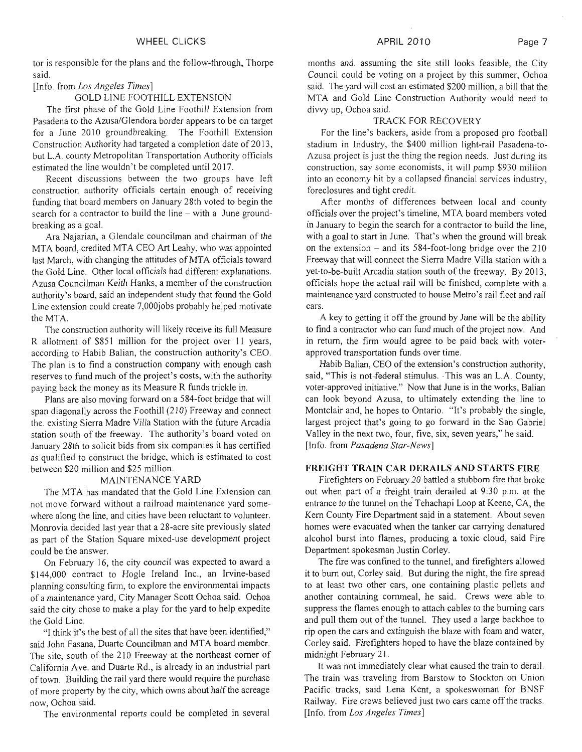tor is responsible for the plans and the follow-through, Thorpe said.

[Info. from *Los Angeles Times]* 

#### GOLD LINE FOOTHILL EXTENSION

The first phase of the Gold Line Foothill Extension from Pasadena to the Azusa/Glendora border appears to be on target for a June 2010 groundbreaking. The Foothill Extension Construction Authority had targeted a completion date of 2013, but L.A. county Metropolitan Transportation Authority officials estimated the line wouldn't be completed until 2017.

Recent discussions between the two groups have left construction authority officials certain enough of receiving funding that board members on January 28th voted to begin the search for a contractor to build the line – with a June groundbreaking as a goal.

Ara Najarian, a Glendale councilman and chairman of the MTA board, credited MTA CEO Art Leahy, who was appointed last March, with changing the attitudes of MTA officials toward the Gold Line. Other local officials had different explanations. Azusa Councilman Keith Hanks, a member of the construction authority's board, said an independent study that found the Gold Line extension could create 7,000jobs probably helped motivate the MTA.

The construction authority will likely receive its full Measure R allotment of \$851 million for the project over 11 years, according to Habib Balian, the construction authority's CEO. The plan is to find a construction company with enough cash reserves to fund much of the project's costs, with the authority paying back the money as its Measure R funds trickle in.

Plans are also moving forward on a 584-foot bridge that will span diagonally across the Foothill (2 10) Freeway and connect the, existing Sierra Madre Villa Station with the future Arcadia station south of the freeway. The authority's board voted on January 28th to solicit bids from six companies it has certified as qualified to construct the bridge, which is estimated to cost between \$20 million and \$25 million.

#### MAINTENANCE YARD

The MTA has mandated that the Gold Line Extension can not move forward without a railroad maintenance yard somewhere along the line, and cities have been reluctant to volunteer. Monrovia decided last year that a 28-acre site previously slated as part of the Station Square mixed-use development project could be the answer.

On February 16, the city council was expected to award a \$144,000 contract to Hogle Ireland Inc., an Irvine-based planning consulting firm, to explore the environmental impacts of a maintenance yard, City Manager Scott Ochoa said. Ochoa said the city chose to make a play for the yard to help expedite the Gold Line.

"I think it's the best of all the sites that have been identified," said John Fasana, Duarte Councilman and MTA board member. The site, south of the 210 Freeway at the northeast corner of California Ave. and Duarte Rd., is already in an industrial part of town. Building the rail yard there would require the purchase of more property by the city, which owns about half the acreage now, Ochoa said.

The environmental reports could be completed in several

## TRACK FOR RECOVERY

For the line's backers, aside from a proposed pro football stadium in Industry, the \$400 million light-rail Pasadena-to-Azusa project is just the thing the region needs. Just during its construction, say some economists, it will pump \$930 million into an economy hit by a collapsed financial services industry, foreclosures and tight credit.

After months of differences between local and county officials over the project's timeline, MTA board members voted in January to begin the search for a contractor to build the line, with a goal to start in June. That's when the ground will break on the extension  $-$  and its 584-foot-long bridge over the 210 Freeway that will connect the Sierra Madre Villa station with a yet-to-be-built Arcadia station south of the freeway. By 2013, officials hope the actual rail will be finished, complete with a maintenance yard constructed to house Metro's rail fleet and rail cars.

A key to getting it off the ground by June will be the ability to find a contractor who can fund much of the project now. And in return, the firm would agree to be paid back with voterapproved transportation funds over time.

Habib Balian, CEO of the extension's construction authority, said, "This is not-federal stimulus. -This was an L.A. County, voter-approved initiative." Now that June is in the works, Balian can look beyond Azusa, to ultimately extending the line to Montclair and, he hopes to Ontario. "It's probably the single, largest project that's going to go forward in the San Gabriel Valley in the next two, four, five, six, seven years," he said. [Info. from *Pasadena Star-News]* 

#### **FREIGHT TRAIN CAR DERAILS AND STARTS FIRE**

Firefighters on February 20 battled a stubborn fire that broke out when part of a freight train derailed at 9:30 p.m. at the entrance to the tunnel on the Tehachapi Loop at Keene, CA, the Kern County Fire Department said in a statement. About seven homes were evacuated when the tanker car carrying denatured alcohol burst into flames, producing a toxic cloud, said Fire Department spokesman Justin Corley.

The fire was confined to the tunnel, and firefighters allowed it to burn out, Corley said. But during the night, the fire spread to at least two other cars, one containing plastic pellets and another containing cornmeal, he said. Crews were able to suppress the flames enough to attach cables to the burning cars and pull them out of the tunnel. They used a large backhoe to rip open the cars and extinguish the blaze with foam and water, Corley said. Firefighters hoped to have the blaze contained by midnight February 21.

It waa not immediately clear what caused the train to derail. The train was traveling from Barstow to Stockton on Union Pacific tracks, said Lena Kent, a spokeswoman for BNSF Railway. Fire crews believed just two cars came off the tracks. [Info. from *Los Angeles Times]*